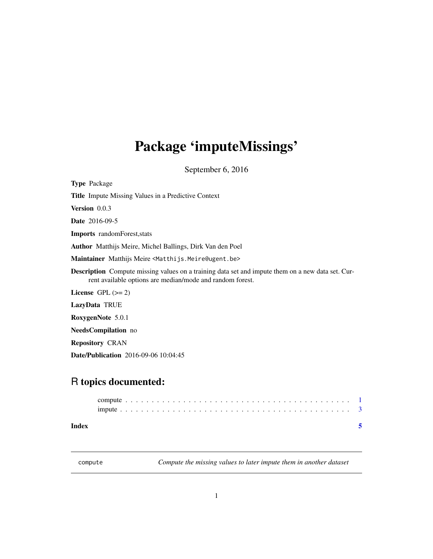## <span id="page-0-0"></span>Package 'imputeMissings'

September 6, 2016

| <b>Type Package</b>                                                                                                                                                   |
|-----------------------------------------------------------------------------------------------------------------------------------------------------------------------|
| <b>Title</b> Impute Missing Values in a Predictive Context                                                                                                            |
| <b>Version</b> $0.0.3$                                                                                                                                                |
| <b>Date</b> 2016-09-5                                                                                                                                                 |
| <b>Imports</b> randomForest, stats                                                                                                                                    |
| <b>Author</b> Matthijs Meire, Michel Ballings, Dirk Van den Poel                                                                                                      |
| Maintainer Matthijs Meire <matthijs.meire@ugent.be></matthijs.meire@ugent.be>                                                                                         |
| <b>Description</b> Compute missing values on a training data set and impute them on a new data set. Cur-<br>rent available options are median/mode and random forest. |
| License GPL $(>= 2)$                                                                                                                                                  |
| LazyData TRUE                                                                                                                                                         |
| RoxygenNote 5.0.1                                                                                                                                                     |
| <b>NeedsCompilation</b> no                                                                                                                                            |
| <b>Repository CRAN</b>                                                                                                                                                |
| <b>Date/Publication</b> 2016-09-06 10:04:45                                                                                                                           |

### R topics documented:

| Index |  |  |  |  |  |  |  |  |  |  |  |  |  |  |  |  |  |  |  |  |  |  |
|-------|--|--|--|--|--|--|--|--|--|--|--|--|--|--|--|--|--|--|--|--|--|--|
|       |  |  |  |  |  |  |  |  |  |  |  |  |  |  |  |  |  |  |  |  |  |  |
|       |  |  |  |  |  |  |  |  |  |  |  |  |  |  |  |  |  |  |  |  |  |  |

<span id="page-0-1"></span>compute *Compute the missing values to later impute them in another dataset*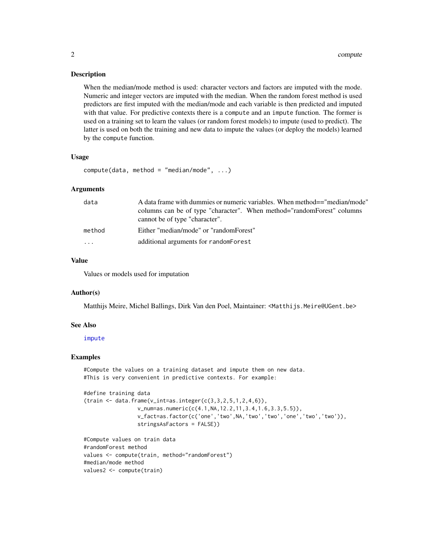#### <span id="page-1-0"></span>**Description**

When the median/mode method is used: character vectors and factors are imputed with the mode. Numeric and integer vectors are imputed with the median. When the random forest method is used predictors are first imputed with the median/mode and each variable is then predicted and imputed with that value. For predictive contexts there is a compute and an impute function. The former is used on a training set to learn the values (or random forest models) to impute (used to predict). The latter is used on both the training and new data to impute the values (or deploy the models) learned by the compute function.

#### Usage

```
compute(data, method = "median/mode", ...)
```
#### **Arguments**

| data     | A data frame with dummies or numeric variables. When method=="median/mode"                               |
|----------|----------------------------------------------------------------------------------------------------------|
|          | columns can be of type "character". When method="randomForest" columns<br>cannot be of type "character". |
| method   | Either "median/mode" or "randomForest"                                                                   |
| $\cdots$ | additional arguments for randomForest                                                                    |

#### Value

Values or models used for imputation

#### Author(s)

Matthijs Meire, Michel Ballings, Dirk Van den Poel, Maintainer: <Matthijs.Meire@UGent.be>

#### See Also

#### [impute](#page-2-1)

#### Examples

#Compute the values on a training dataset and impute them on new data. #This is very convenient in predictive contexts. For example:

```
#define training data
(train < - data frame(v_inter) = axisline(c(3, 3, 2, 5, 1, 2, 4, 6)),v_num=as.numeric(c(4.1,NA,12.2,11,3.4,1.6,3.3,5.5)),
                 v_fact=as.factor(c('one','two',NA,'two','two','one','two','two')),
                 stringsAsFactors = FALSE))
```

```
#Compute values on train data
#randomForest method
values <- compute(train, method="randomForest")
#median/mode method
values2 <- compute(train)
```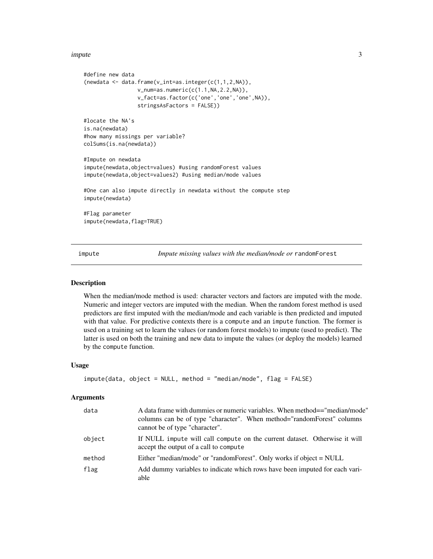#### <span id="page-2-0"></span>impute 3

```
#define new data
(newdata < - data frame(v_interest=base(c(1,1,2,N))),v_num=as.numeric(c(1.1,NA,2.2,NA)),
                 v_fact=as.factor(c('one','one','one',NA)),
                 stringsAsFactors = FALSE))
#locate the NA's
is.na(newdata)
#how many missings per variable?
colSums(is.na(newdata))
#Impute on newdata
impute(newdata,object=values) #using randomForest values
impute(newdata,object=values2) #using median/mode values
#One can also impute directly in newdata without the compute step
impute(newdata)
#Flag parameter
impute(newdata,flag=TRUE)
```
<span id="page-2-1"></span>impute *Impute missing values with the median/mode or* randomForest

#### Description

When the median/mode method is used: character vectors and factors are imputed with the mode. Numeric and integer vectors are imputed with the median. When the random forest method is used predictors are first imputed with the median/mode and each variable is then predicted and imputed with that value. For predictive contexts there is a compute and an impute function. The former is used on a training set to learn the values (or random forest models) to impute (used to predict). The latter is used on both the training and new data to impute the values (or deploy the models) learned by the compute function.

#### Usage

```
impute(data, object = NULL, method = "median/mode", flag = FALSE)
```
#### **Arguments**

| data   | A data frame with dummies or numeric variables. When method=="median/mode"<br>columns can be of type "character". When method="randomForest" columns<br>cannot be of type "character". |
|--------|----------------------------------------------------------------------------------------------------------------------------------------------------------------------------------------|
| object | If NULL impute will call compute on the current dataset. Otherwise it will<br>accept the output of a call to compute                                                                   |
| method | Either "median/mode" or "randomForest". Only works if object = NULL                                                                                                                    |
| flag   | Add dummy variables to indicate which rows have been imputed for each vari-<br>able                                                                                                    |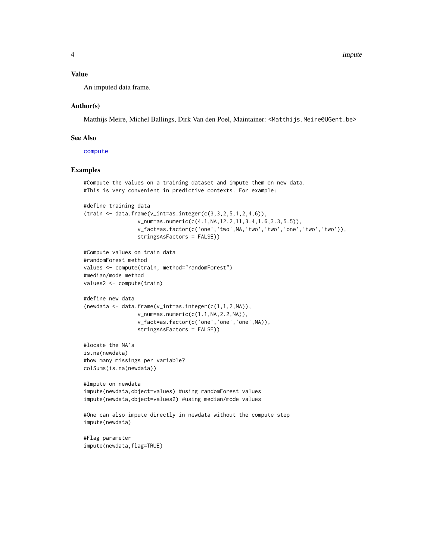#### <span id="page-3-0"></span>Value

An imputed data frame.

#### Author(s)

Matthijs Meire, Michel Ballings, Dirk Van den Poel, Maintainer: <Matthijs.Meire@UGent.be>

#### See Also

[compute](#page-0-1)

#### Examples

```
#Compute the values on a training dataset and impute them on new data.
#This is very convenient in predictive contexts. For example:
#define training data
(train < - data frame(v_inter) = -axis, integer(c(3, 3, 2, 5, 1, 2, 4, 6)),v_num=as.numeric(c(4.1,NA,12.2,11,3.4,1.6,3.3,5.5)),
                 v_fact=as.factor(c('one','two',NA,'two','two','one','two','two')),
                 stringsAsFactors = FALSE))
#Compute values on train data
#randomForest method
values <- compute(train, method="randomForest")
#median/mode method
values2 <- compute(train)
#define new data
(newdata <- data.frame(v_int=as.integer(c(1,1,2,NA)),
                 v_num=as.numeric(c(1.1,NA,2.2,NA)),
                 v_fact=as.factor(c('one','one','one',NA)),
                 stringsAsFactors = FALSE))
#locate the NA's
is.na(newdata)
#how many missings per variable?
colSums(is.na(newdata))
#Impute on newdata
impute(newdata,object=values) #using randomForest values
impute(newdata,object=values2) #using median/mode values
#One can also impute directly in newdata without the compute step
impute(newdata)
#Flag parameter
impute(newdata,flag=TRUE)
```